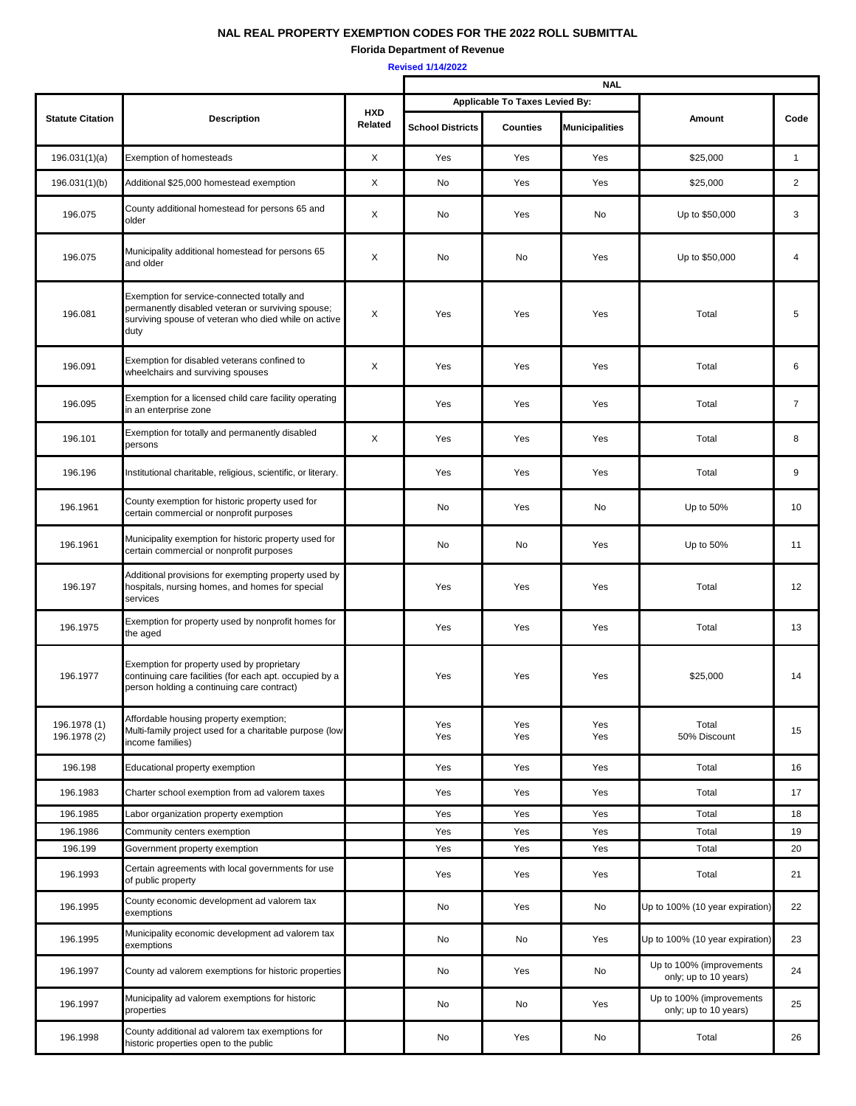## **NAL REAL PROPERTY EXEMPTION CODES FOR THE 2022 ROLL SUBMITTAL**

**Florida Department of Revenue**

**Revised 1/14/2022**

|                              |                                                                                                                                                                  |                       | <b>NAL</b>                     |                 |                       |                                                   |                |
|------------------------------|------------------------------------------------------------------------------------------------------------------------------------------------------------------|-----------------------|--------------------------------|-----------------|-----------------------|---------------------------------------------------|----------------|
|                              |                                                                                                                                                                  |                       | Applicable To Taxes Levied By: |                 |                       |                                                   |                |
| <b>Statute Citation</b>      | <b>Description</b>                                                                                                                                               | <b>HXD</b><br>Related | <b>School Districts</b>        | <b>Counties</b> | <b>Municipalities</b> | Amount                                            | Code           |
| 196.031(1)(a)                | <b>Exemption of homesteads</b>                                                                                                                                   | X                     | Yes                            | Yes             | Yes                   | \$25,000                                          | $\mathbf{1}$   |
| 196.031(1)(b)                | Additional \$25,000 homestead exemption                                                                                                                          | X                     | No                             | Yes             | Yes                   | \$25,000                                          | $\overline{2}$ |
| 196.075                      | County additional homestead for persons 65 and<br>older                                                                                                          | X                     | No                             | Yes             | No                    | Up to \$50,000                                    | 3              |
| 196.075                      | Municipality additional homestead for persons 65<br>and older                                                                                                    | X                     | No                             | No              | Yes                   | Up to \$50,000                                    | 4              |
| 196.081                      | Exemption for service-connected totally and<br>permanently disabled veteran or surviving spouse;<br>surviving spouse of veteran who died while on active<br>duty | X                     | Yes                            | Yes             | Yes                   | Total                                             | 5              |
| 196.091                      | Exemption for disabled veterans confined to<br>wheelchairs and surviving spouses                                                                                 | X                     | Yes                            | Yes             | Yes                   | Total                                             | 6              |
| 196.095                      | Exemption for a licensed child care facility operating<br>in an enterprise zone                                                                                  |                       | Yes                            | Yes             | Yes                   | Total                                             | $\overline{7}$ |
| 196.101                      | Exemption for totally and permanently disabled<br>persons                                                                                                        | X                     | Yes                            | Yes             | Yes                   | Total                                             | 8              |
| 196.196                      | Institutional charitable, religious, scientific, or literary.                                                                                                    |                       | Yes                            | Yes             | Yes                   | Total                                             | 9              |
| 196.1961                     | County exemption for historic property used for<br>certain commercial or nonprofit purposes                                                                      |                       | No                             | Yes             | No                    | Up to 50%                                         | 10             |
| 196.1961                     | Municipality exemption for historic property used for<br>certain commercial or nonprofit purposes                                                                |                       | No                             | No              | Yes                   | Up to 50%                                         | 11             |
| 196.197                      | Additional provisions for exempting property used by<br>hospitals, nursing homes, and homes for special<br>services                                              |                       | Yes                            | Yes             | Yes                   | Total                                             | 12             |
| 196.1975                     | Exemption for property used by nonprofit homes for<br>the aged                                                                                                   |                       | Yes                            | Yes             | Yes                   | Total                                             | 13             |
| 196.1977                     | Exemption for property used by proprietary<br>continuing care facilities (for each apt. occupied by a<br>person holding a continuing care contract)              |                       | Yes                            | Yes             | Yes                   | \$25,000                                          | 14             |
| 196.1978 (1)<br>196.1978 (2) | Affordable housing property exemption;<br>Multi-family project used for a charitable purpose (low<br>income families)                                            |                       | Yes<br>Yes                     | Yes<br>Yes      | Yes<br>Yes            | Total<br>50% Discount                             | 15             |
| 196.198                      | Educational property exemption                                                                                                                                   |                       | Yes                            | Yes             | Yes                   | Total                                             | 16             |
| 196.1983                     | Charter school exemption from ad valorem taxes                                                                                                                   |                       | Yes                            | Yes             | Yes                   | Total                                             | 17             |
| 196.1985                     | abor organization property exemption                                                                                                                             |                       | Yes                            | Yes             | Yes                   | Total                                             | 18             |
| 196.1986                     | Community centers exemption                                                                                                                                      |                       | Yes                            | Yes             | Yes                   | Total                                             | 19             |
| 196.199                      | Government property exemption                                                                                                                                    |                       | Yes                            | Yes             | Yes                   | Total                                             | 20             |
| 196.1993                     | Certain agreements with local governments for use<br>of public property                                                                                          |                       | Yes                            | Yes             | Yes                   | Total                                             | 21             |
| 196.1995                     | County economic development ad valorem tax<br>exemptions                                                                                                         |                       | No                             | Yes             | No                    | Jp to 100% (10 year expiration)                   | 22             |
| 196.1995                     | Municipality economic development ad valorem tax<br>exemptions                                                                                                   |                       | No                             | No              | Yes                   | Up to 100% (10 year expiration)                   | 23             |
| 196.1997                     | County ad valorem exemptions for historic properties                                                                                                             |                       | No                             | Yes             | No                    | Up to 100% (improvements<br>only; up to 10 years) | 24             |
| 196.1997                     | Municipality ad valorem exemptions for historic<br>properties                                                                                                    |                       | No                             | No              | Yes                   | Up to 100% (improvements<br>only; up to 10 years) | 25             |
| 196.1998                     | County additional ad valorem tax exemptions for<br>historic properties open to the public                                                                        |                       | No                             | Yes             | No                    | Total                                             | 26             |